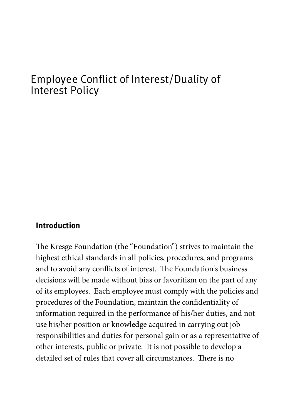# [Employee Conflict of In](https://kresge.org/)terest/Duality of Interest Policy

#### Introduction

The Kresge Foundation (the "Foundation") strives to maintain the highest ethical standards in all policies, procedures, and programs and to avoid any conflicts of interest. The Foundation's business decisions will be made without bias or favoritism on the part of any of its employees. Each employee must comply with the policies and procedures of the Foundation, maintain the confidentiality of information required in the performance of his/her duties, and not use his/her position or knowledge acquired in carrying out job responsibilities and duties for personal gain or as a representative of other interests, public or private. It is not possible to develop a detailed set of rules that cover all circumstances. There is no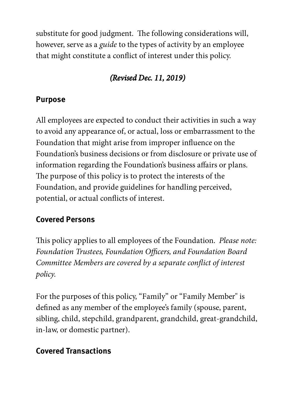substitute for good judgment. The following considerations will, however, serve as a guide to the types of activity by an employee that might constitute a conflict of interest under this policy.

## (Revised Dec. 11, 2019)

## Purpose

All employees are expected to conduct their activities in such a way to avoid any appearance of, or actual, loss or embarrassment to the Foundation that might arise from improper influence on the Foundation's business decisions or from disclosure or private use of information regarding the Foundation's business affairs or plans. The purpose of this policy is to protect the interests of the Foundation, and provide guidelines for handling perceived, potential, or actual conflicts of interest.

## Covered Persons

This policy applies to all employees of the Foundation. *Please note:* Foundation Trustees, Foundation Officers, and Foundation Board Committee Members are covered by a separate conflict of interest policy.

For the purposes of this policy, "Family" or "Family Member" is defined as any member of the employee's family (spouse, parent, sibling, child, stepchild, grandparent, grandchild, great-grandchild, in-law, or domestic partner).

## Covered Transactions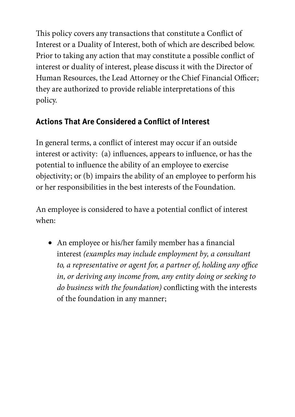This policy covers any transactions that constitute a Conflict of Interest or a Duality of Interest, both of which are described below. Prior to taking any action that may constitute a possible conflict of interest or duality of interest, please discuss it with the Director of Human Resources, the Lead Attorney or the Chief Financial Officer; they are authorized to provide reliable interpretations of this policy.

## Actions That Are Considered a Conflict of Interest

In general terms, a conflict of interest may occur if an outside interest or activity: (a) influences, appears to influence, or has the potential to influence the ability of an employee to exercise objectivity; or (b) impairs the ability of an employee to perform his or her responsibilities in the best interests of the Foundation.

An employee is considered to have a potential conflict of interest when:

• An employee or his/her family member has a financial interest (examples may include employment by, a consultant to, a representative or agent for, a partner of, holding any office in, or deriving any income from, any entity doing or seeking to do business with the foundation) conflicting with the interests of the foundation in any manner;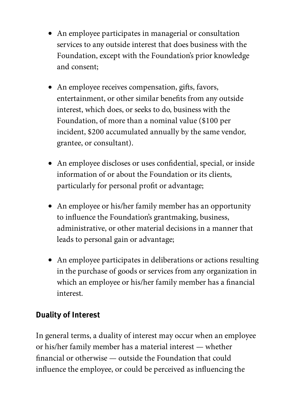- An employee participates in managerial or consultation services to any outside interest that does business with the Foundation, except with the Foundation's prior knowledge and consent;
- An employee receives compensation, gifts, favors, entertainment, or other similar benefits from any outside interest, which does, or seeks to do, business with the Foundation, of more than a nominal value (\$100 per incident, \$200 accumulated annually by the same vendor, grantee, or consultant).
- An employee discloses or uses confidential, special, or inside information of or about the Foundation or its clients, particularly for personal profit or advantage;
- An employee or his/her family member has an opportunity to influence the Foundation's grantmaking, business, administrative, or other material decisions in a manner that leads to personal gain or advantage;
- An employee participates in deliberations or actions resulting in the purchase of goods or services from any organization in which an employee or his/her family member has a financial interest.

### Duality of Interest

In general terms, a duality of interest may occur when an employee or his/her family member has a material interest — whether nancial or otherwise — outside the Foundation that could influence the employee, or could be perceived as influencing the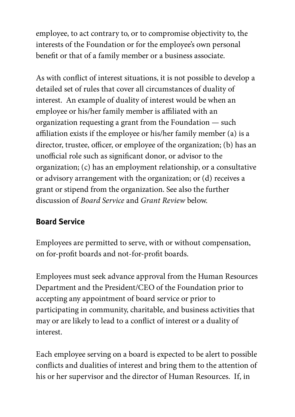employee, to act contrary to, or to compromise objectivity to, the interests of the Foundation or for the employee's own personal benefit or that of a family member or a business associate.

As with conflict of interest situations, it is not possible to develop a detailed set of rules that cover all circumstances of duality of interest. An example of duality of interest would be when an employee or his/her family member is affiliated with an organization requesting a grant from the Foundation — such affiliation exists if the employee or his/her family member (a) is a director, trustee, officer, or employee of the organization; (b) has an unofficial role such as significant donor, or advisor to the organization; (c) has an employment relationship, or a consultative or advisory arrangement with the organization; or (d) receives a grant or stipend from the organization. See also the further discussion of Board Service and Grant Review below.

## Board Service

Employees are permitted to serve, with or without compensation, on for-profit boards and not-for-profit boards.

Employees must seek advance approval from the Human Resources Department and the President/CEO of the Foundation prior to accepting any appointment of board service or prior to participating in community, charitable, and business activities that may or are likely to lead to a conflict of interest or a duality of interest.

Each employee serving on a board is expected to be alert to possible conflicts and dualities of interest and bring them to the attention of his or her supervisor and the director of Human Resources. If, in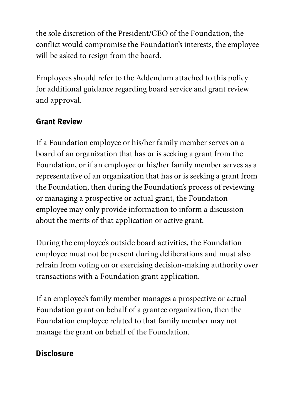the sole discretion of the President/CEO of the Foundation, the conflict would compromise the Foundation's interests, the employee will be asked to resign from the board.

Employees should refer to the Addendum attached to this policy for additional guidance regarding board service and grant review and approval.

## Grant Review

If a Foundation employee or his/her family member serves on a board of an organization that has or is seeking a grant from the Foundation, or if an employee or his/her family member serves as a representative of an organization that has or is seeking a grant from the Foundation, then during the Foundation's process of reviewing or managing a prospective or actual grant, the Foundation employee may only provide information to inform a discussion about the merits of that application or active grant.

During the employee's outside board activities, the Foundation employee must not be present during deliberations and must also refrain from voting on or exercising decision-making authority over transactions with a Foundation grant application.

If an employee's family member manages a prospective or actual Foundation grant on behalf of a grantee organization, then the Foundation employee related to that family member may not manage the grant on behalf of the Foundation.

### **Disclosure**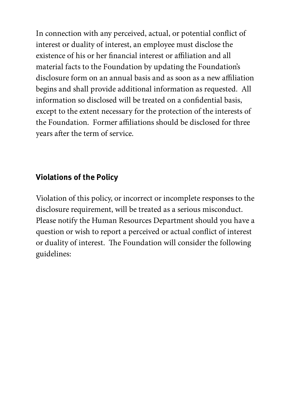In connection with any perceived, actual, or potential conflict of interest or duality of interest, an employee must disclose the existence of his or her financial interest or affiliation and all material facts to the Foundation by updating the Foundation's disclosure form on an annual basis and as soon as a new affiliation begins and shall provide additional information as requested. All information so disclosed will be treated on a confidential basis, except to the extent necessary for the protection of the interests of the Foundation. Former affiliations should be disclosed for three years after the term of service.

### Violations of the Policy

Violation of this policy, or incorrect or incomplete responses to the disclosure requirement, will be treated as a serious misconduct. Please notify the Human Resources Department should you have a question or wish to report a perceived or actual conflict of interest or duality of interest. The Foundation will consider the following guidelines: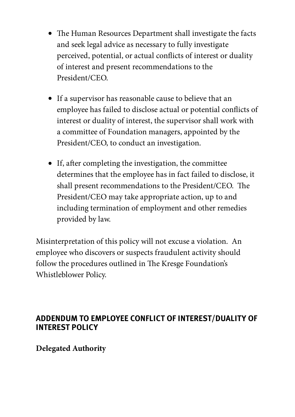- The Human Resources Department shall investigate the facts and seek legal advice as necessary to fully investigate perceived, potential, or actual conflicts of interest or duality of interest and present recommendations to the President/CEO.
- If a supervisor has reasonable cause to believe that an employee has failed to disclose actual or potential conflicts of interest or duality of interest, the supervisor shall work with a committee of Foundation managers, appointed by the President/CEO, to conduct an investigation.
- $\bullet$  If, after completing the investigation, the committee determines that the employee has in fact failed to disclose, it shall present recommendations to the President/CEO. The President/CEO may take appropriate action, up to and including termination of employment and other remedies provided by law.

Misinterpretation of this policy will not excuse a violation. An employee who discovers or suspects fraudulent activity should follow the procedures outlined in The Kresge Foundation's Whistleblower Policy.

#### ADDENDUM TO EMPLOYEE CONFLICT OF INTEREST/DUALITY OF INTEREST POLICY

**Delegated Authority**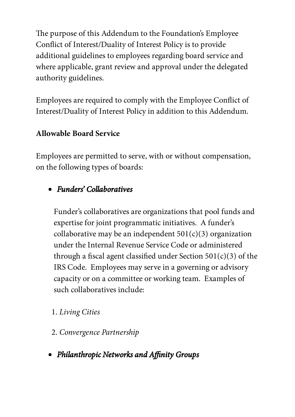The purpose of this Addendum to the Foundation's Employee Conflict of Interest/Duality of Interest Policy is to provide additional guidelines to employees regarding board service and where applicable, grant review and approval under the delegated authority guidelines.

Employees are required to comply with the Employee Conflict of Interest/Duality of Interest Policy in addition to this Addendum.

#### **Allowable Board Service**

Employees are permitted to serve, with or without compensation, on the following types of boards:

## Funders' Collaboratives

Funder's collaboratives are organizations that pool funds and expertise for joint programmatic initiatives. A funder's collaborative may be an independent  $501(c)(3)$  organization under the Internal Revenue Service Code or administered through a fiscal agent classified under Section  $501(c)(3)$  of the IRS Code. Employees may serve in a governing or advisory capacity or on a committee or working team. Examples of such collaboratives include:

### 1. Living Cities

- 2. Convergence Partnership
- Philanthropic Networks and Affinity Groups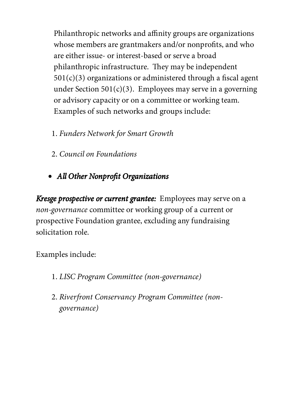Philanthropic networks and affinity groups are organizations whose members are grantmakers and/or nonprofits, and who are either issue- or interest-based or serve a broad philanthropic infrastructure. They may be independent  $501(c)(3)$  organizations or administered through a fiscal agent under Section  $501(c)(3)$ . Employees may serve in a governing or advisory capacity or on a committee or working team. Examples of such networks and groups include:

- 1. Funders Network for Smart Growth
- 2. Council on Foundations
- All Other Nonprofit Organizations

Kresge prospective or current grantee: Employees may serve on a non-governance committee or working group of a current or prospective Foundation grantee, excluding any fundraising solicitation role.

Examples include:

- 1. LISC Program Committee (non-governance)
- 2. Riverfront Conservancy Program Committee (nongovernance)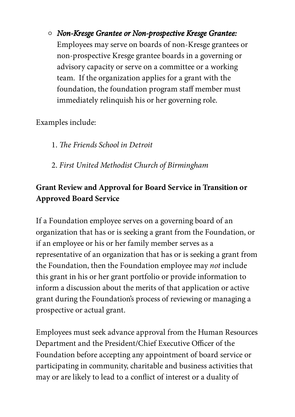Non-Kresge Grantee or Non-prospective Kresge Grantee: Employees may serve on boards of non-Kresge grantees or non-prospective Kresge grantee boards in a governing or advisory capacity or serve on a committee or a working team. If the organization applies for a grant with the foundation, the foundation program staff member must immediately relinquish his or her governing role.

Examples include:

1. The Friends School in Detroit

2. First United Methodist Church of Birmingham

### **Grant Review and Approval for Board Service in Transition or Approved Board Service**

If a Foundation employee serves on a governing board of an organization that has or is seeking a grant from the Foundation, or if an employee or his or her family member serves as a representative of an organization that has or is seeking a grant from the Foundation, then the Foundation employee may not include this grant in his or her grant portfolio or provide information to inform a discussion about the merits of that application or active grant during the Foundation's process of reviewing or managing a prospective or actual grant.

Employees must seek advance approval from the Human Resources Department and the President/Chief Executive Officer of the Foundation before accepting any appointment of board service or participating in community, charitable and business activities that may or are likely to lead to a conflict of interest or a duality of